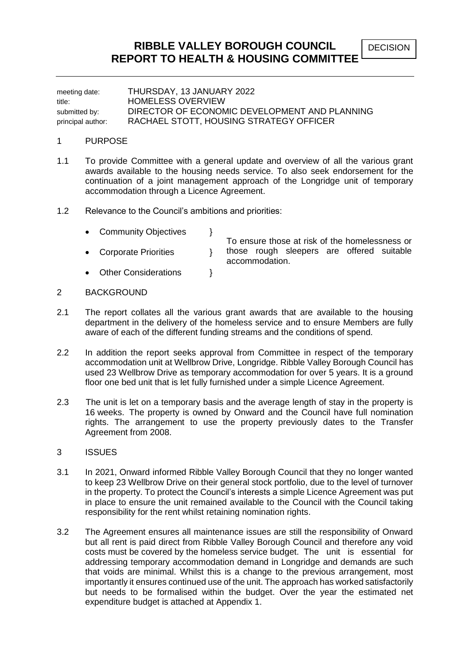DECISION

meeting date: THURSDAY, 13 JANUARY 2022 title: HOMELESS OVERVIEW submitted by: DIRECTOR OF ECONOMIC DEVELOPMENT AND PLANNING principal author: RACHAEL STOTT, HOUSING STRATEGY OFFICER

#### 1 PURPOSE

- 1.1 To provide Committee with a general update and overview of all the various grant awards available to the housing needs service. To also seek endorsement for the continuation of a joint management approach of the Longridge unit of temporary accommodation through a Licence Agreement.
- 1.2 Relevance to the Council's ambitions and priorities:
	- Community Objectives \
	- Corporate Priorities  $\}$

To ensure those at risk of the homelessness or those rough sleepers are offered suitable accommodation.

- Other Considerations  $\qquad \qquad$  }
- 2 BACKGROUND
- 2.1 The report collates all the various grant awards that are available to the housing department in the delivery of the homeless service and to ensure Members are fully aware of each of the different funding streams and the conditions of spend.
- 2.2 In addition the report seeks approval from Committee in respect of the temporary accommodation unit at Wellbrow Drive, Longridge. Ribble Valley Borough Council has used 23 Wellbrow Drive as temporary accommodation for over 5 years. It is a ground floor one bed unit that is let fully furnished under a simple Licence Agreement.
- 2.3 The unit is let on a temporary basis and the average length of stay in the property is 16 weeks. The property is owned by Onward and the Council have full nomination rights. The arrangement to use the property previously dates to the Transfer Agreement from 2008.
- 3 ISSUES
- 3.1 In 2021, Onward informed Ribble Valley Borough Council that they no longer wanted to keep 23 Wellbrow Drive on their general stock portfolio, due to the level of turnover in the property. To protect the Council's interests a simple Licence Agreement was put in place to ensure the unit remained available to the Council with the Council taking responsibility for the rent whilst retaining nomination rights.
- 3.2 The Agreement ensures all maintenance issues are still the responsibility of Onward but all rent is paid direct from Ribble Valley Borough Council and therefore any void costs must be covered by the homeless service budget. The unit is essential for addressing temporary accommodation demand in Longridge and demands are such that voids are minimal. Whilst this is a change to the previous arrangement, most importantly it ensures continued use of the unit. The approach has worked satisfactorily but needs to be formalised within the budget. Over the year the estimated net expenditure budget is attached at Appendix 1.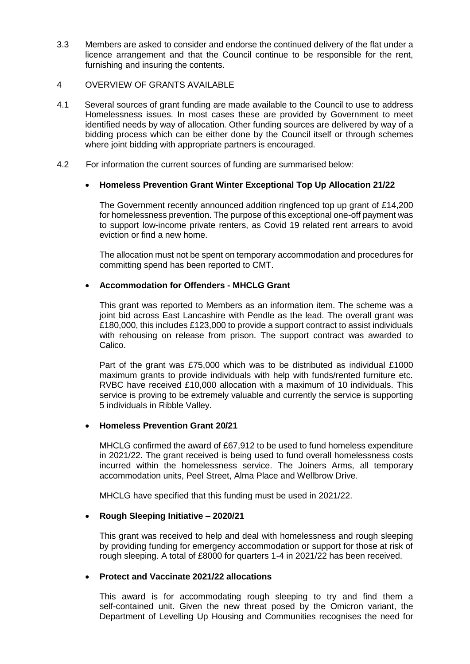- 3.3 Members are asked to consider and endorse the continued delivery of the flat under a licence arrangement and that the Council continue to be responsible for the rent, furnishing and insuring the contents.
- 4 OVERVIEW OF GRANTS AVAILABLE
- 4.1 Several sources of grant funding are made available to the Council to use to address Homelessness issues. In most cases these are provided by Government to meet identified needs by way of allocation. Other funding sources are delivered by way of a bidding process which can be either done by the Council itself or through schemes where joint bidding with appropriate partners is encouraged.
- 4.2 For information the current sources of funding are summarised below:

### **Homeless Prevention Grant Winter Exceptional Top Up Allocation 21/22**

The Government recently announced addition ringfenced top up grant of £14,200 for homelessness prevention. The purpose of this exceptional one-off payment was to support low-income private renters, as Covid 19 related rent arrears to avoid eviction or find a new home.

The allocation must not be spent on temporary accommodation and procedures for committing spend has been reported to CMT.

#### **Accommodation for Offenders - MHCLG Grant**

This grant was reported to Members as an information item. The scheme was a joint bid across East Lancashire with Pendle as the lead. The overall grant was £180,000, this includes £123,000 to provide a support contract to assist individuals with rehousing on release from prison. The support contract was awarded to Calico.

Part of the grant was £75,000 which was to be distributed as individual £1000 maximum grants to provide individuals with help with funds/rented furniture etc. RVBC have received £10,000 allocation with a maximum of 10 individuals. This service is proving to be extremely valuable and currently the service is supporting 5 individuals in Ribble Valley.

### **Homeless Prevention Grant 20/21**

MHCLG confirmed the award of £67,912 to be used to fund homeless expenditure in 2021/22. The grant received is being used to fund overall homelessness costs incurred within the homelessness service. The Joiners Arms, all temporary accommodation units, Peel Street, Alma Place and Wellbrow Drive.

MHCLG have specified that this funding must be used in 2021/22.

### **Rough Sleeping Initiative – 2020/21**

This grant was received to help and deal with homelessness and rough sleeping by providing funding for emergency accommodation or support for those at risk of rough sleeping. A total of £8000 for quarters 1-4 in 2021/22 has been received.

## **Protect and Vaccinate 2021/22 allocations**

This award is for accommodating rough sleeping to try and find them a self-contained unit. Given the new threat posed by the Omicron variant, the Department of Levelling Up Housing and Communities recognises the need for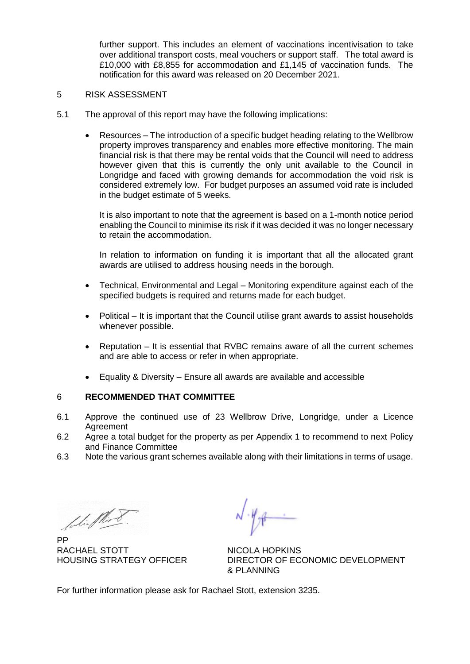further support. This includes an element of vaccinations incentivisation to take over additional transport costs, meal vouchers or support staff. The total award is £10,000 with £8,855 for accommodation and £1,145 of vaccination funds. The notification for this award was released on 20 December 2021.

#### 5 RISK ASSESSMENT

- 5.1 The approval of this report may have the following implications:
	- Resources The introduction of a specific budget heading relating to the Wellbrow property improves transparency and enables more effective monitoring. The main financial risk is that there may be rental voids that the Council will need to address however given that this is currently the only unit available to the Council in Longridge and faced with growing demands for accommodation the void risk is considered extremely low. For budget purposes an assumed void rate is included in the budget estimate of 5 weeks.

It is also important to note that the agreement is based on a 1-month notice period enabling the Council to minimise its risk if it was decided it was no longer necessary to retain the accommodation.

In relation to information on funding it is important that all the allocated grant awards are utilised to address housing needs in the borough.

- Technical, Environmental and Legal Monitoring expenditure against each of the specified budgets is required and returns made for each budget.
- Political It is important that the Council utilise grant awards to assist households whenever possible.
- Reputation It is essential that RVBC remains aware of all the current schemes and are able to access or refer in when appropriate.
- Equality & Diversity Ensure all awards are available and accessible

### 6 **RECOMMENDED THAT COMMITTEE**

- 6.1 Approve the continued use of 23 Wellbrow Drive, Longridge, under a Licence Agreement
- 6.2 Agree a total budget for the property as per Appendix 1 to recommend to next Policy and Finance Committee
- 6.3 Note the various grant schemes available along with their limitations in terms of usage.

Colin Plant.

PP RACHAEL STOTT NICOLA HOPKINS

HOUSING STRATEGY OFFICER DIRECTOR OF ECONOMIC DEVELOPMENT & PLANNING

For further information please ask for Rachael Stott, extension 3235.